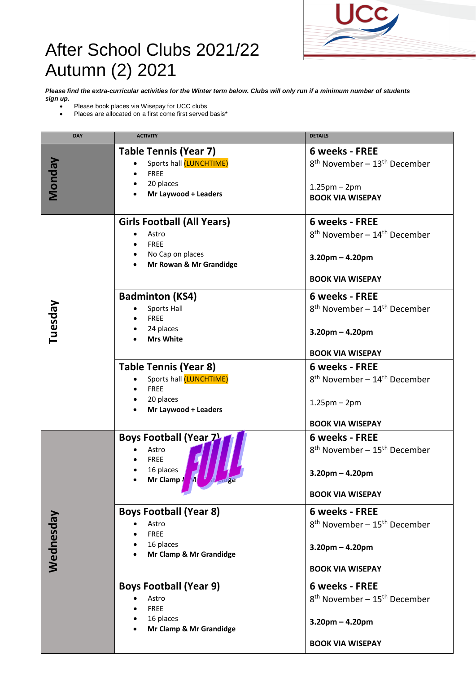

## After School Clubs 2021/22 Autumn (2) 2021

*Pl***e***ase find the extra-curricular activities for the Winter term below. Clubs will only run if a minimum number of students sign up.*

- Please book places via Wisepay for UCC clubs
- Places are allocated on a first come first served basis\*

| <b>DAY</b>   | <b>ACTIVITY</b>                                                                                             | <b>DETAILS</b>                                                                                                                 |
|--------------|-------------------------------------------------------------------------------------------------------------|--------------------------------------------------------------------------------------------------------------------------------|
| <b>Monda</b> | <b>Table Tennis (Year 7)</b><br>Sports hall (LUNCHTIME)<br><b>FREE</b><br>20 places<br>Mr Laywood + Leaders | 6 weeks - FREE<br>8 <sup>th</sup> November - 13 <sup>th</sup> December<br>$1.25$ pm – $2$ pm<br><b>BOOK VIA WISEPAY</b>        |
| Tuesday      | <b>Girls Football (All Years)</b><br>Astro<br><b>FREE</b><br>• No Cap on places<br>Mr Rowan & Mr Grandidge  | <b>6 weeks - FREE</b><br>$8th$ November – 14 <sup>th</sup> December<br>$3.20$ pm – 4.20pm<br><b>BOOK VIA WISEPAY</b>           |
|              | <b>Badminton (KS4)</b><br>Sports Hall<br><b>FREE</b><br>24 places<br><b>Mrs White</b>                       | <b>6 weeks - FREE</b><br>$8th$ November – 14 <sup>th</sup> December<br>$3.20$ pm – 4.20pm<br><b>BOOK VIA WISEPAY</b>           |
|              | <b>Table Tennis (Year 8)</b><br>Sports hall (LUNCHTIME)<br><b>FREE</b><br>20 places<br>Mr Laywood + Leaders | 6 weeks - FREE<br>$8th$ November – 14 <sup>th</sup> December<br>$1.25$ pm – $2$ pm<br><b>BOOK VIA WISEPAY</b>                  |
| Wednesday    | <b>Boys Football (Year 7)</b><br>Astro<br><b>FREE</b><br>16 places<br>Mr Clamp {<br>M                       | <b>6 weeks - FREE</b><br>8 <sup>th</sup> November - 15 <sup>th</sup> December<br>$3.20$ pm – 4.20pm<br><b>BOOK VIA WISEPAY</b> |
|              | <b>Boys Football (Year 8)</b><br>Astro<br><b>FREE</b><br>16 places<br>Mr Clamp & Mr Grandidge               | 6 weeks - FREE<br>8 <sup>th</sup> November - 15 <sup>th</sup> December<br>$3.20$ pm – 4.20pm<br><b>BOOK VIA WISEPAY</b>        |
|              | <b>Boys Football (Year 9)</b><br>Astro<br><b>FREE</b><br>16 places<br>Mr Clamp & Mr Grandidge               | 6 weeks - FREE<br>8 <sup>th</sup> November - 15 <sup>th</sup> December<br>$3.20$ pm – 4.20pm<br><b>BOOK VIA WISEPAY</b>        |